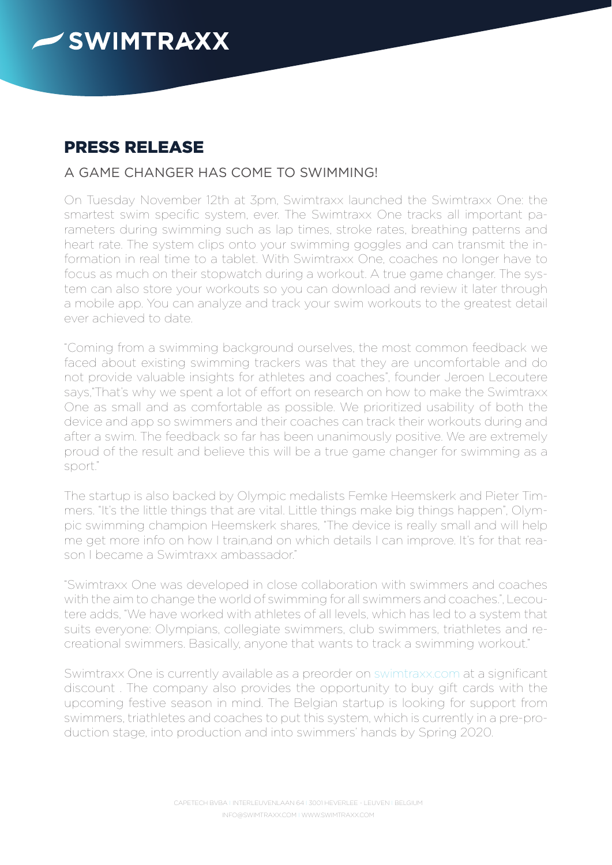

## PRESS RELEASE

## A GAME CHANGER HAS COME TO SWIMMING!

On Tuesday November 12th at 3pm, Swimtraxx launched the Swimtraxx One: the smartest swim specific system, ever. The Swimtraxx One tracks all important parameters during swimming such as lap times, stroke rates, breathing patterns and heart rate. The system clips onto your swimming goggles and can transmit the information in real time to a tablet. With Swimtraxx One, coaches no longer have to focus as much on their stopwatch during a workout. A true game changer. The system can also store your workouts so you can download and review it later through a mobile app. You can analyze and track your swim workouts to the greatest detail ever achieved to date.

"Coming from a swimming background ourselves, the most common feedback we faced about existing swimming trackers was that they are uncomfortable and do not provide valuable insights for athletes and coaches", founder Jeroen Lecoutere says,"That's why we spent a lot of effort on research on how to make the Swimtraxx One as small and as comfortable as possible. We prioritized usability of both the device and app so swimmers and their coaches can track their workouts during and after a swim. The feedback so far has been unanimously positive. We are extremely proud of the result and believe this will be a true game changer for swimming as a sport."

The startup is also backed by Olympic medalists Femke Heemskerk and Pieter Timmers. "It's the little things that are vital. Little things make big things happen", Olympic swimming champion Heemskerk shares, "The device is really small and will help me get more info on how I train,and on which details I can improve. It's for that reason I became a Swimtraxx ambassador."

"Swimtraxx One was developed in close collaboration with swimmers and coaches with the aim to change the world of swimming for all swimmers and coaches.", Lecoutere adds, "We have worked with athletes of all levels, which has led to a system that suits everyone: Olympians, collegiate swimmers, club swimmers, triathletes and recreational swimmers. Basically, anyone that wants to track a swimming workout."

Swimtraxx One is currently available as a preorder on swimtraxx.com at a significant discount . The company also provides the opportunity to buy gift cards with the upcoming festive season in mind. The Belgian startup is looking for support from swimmers, triathletes and coaches to put this system, which is currently in a pre-production stage, into production and into swimmers' hands by Spring 2020.